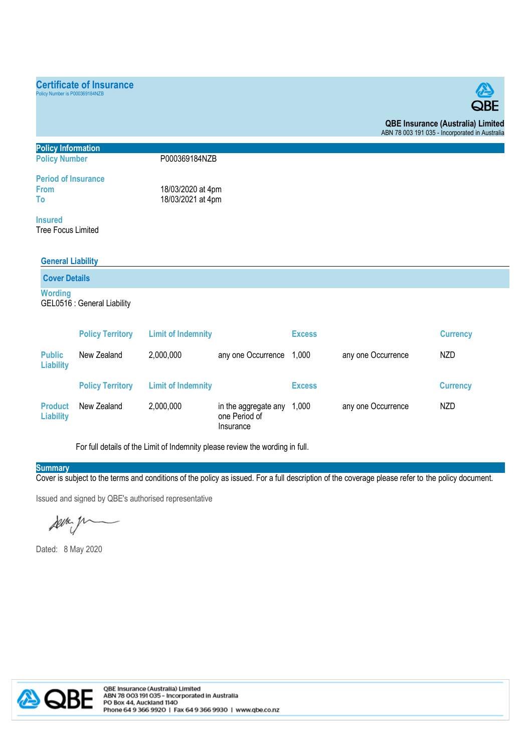## **Certificate of Insurance**

cy Number is P000369184NZB



**QBE Insurance (Australia) Limited**  ABN 78 003 191 035 - Incorporated in Australia

| <b>Policy Information</b>             |                             |                           |                    |               |                    |                 |  |  |  |
|---------------------------------------|-----------------------------|---------------------------|--------------------|---------------|--------------------|-----------------|--|--|--|
| P000369184NZB<br><b>Policy Number</b> |                             |                           |                    |               |                    |                 |  |  |  |
| <b>Period of Insurance</b>            |                             |                           |                    |               |                    |                 |  |  |  |
| <b>From</b>                           |                             |                           | 18/03/2020 at 4pm  |               |                    |                 |  |  |  |
| To                                    |                             |                           | 18/03/2021 at 4pm  |               |                    |                 |  |  |  |
| <b>Insured</b>                        |                             |                           |                    |               |                    |                 |  |  |  |
| Tree Focus Limited                    |                             |                           |                    |               |                    |                 |  |  |  |
|                                       |                             |                           |                    |               |                    |                 |  |  |  |
|                                       | <b>General Liability</b>    |                           |                    |               |                    |                 |  |  |  |
|                                       | <b>Cover Details</b>        |                           |                    |               |                    |                 |  |  |  |
| <b>Wording</b>                        |                             |                           |                    |               |                    |                 |  |  |  |
|                                       | GEL0516 : General Liability |                           |                    |               |                    |                 |  |  |  |
|                                       |                             |                           |                    |               |                    |                 |  |  |  |
|                                       | <b>Policy Territory</b>     | <b>Limit of Indemnity</b> |                    | <b>Excess</b> |                    | <b>Currency</b> |  |  |  |
| <b>Public</b><br><b>Liability</b>     | New Zealand                 | 2,000,000                 | any one Occurrence | 1,000         | any one Occurrence | NZD             |  |  |  |

|                             | <b>Policy Territory</b> | <b>Limit of Indemnity</b> |                                                            | <b>Excess</b> |                    | <b>Currency</b> |
|-----------------------------|-------------------------|---------------------------|------------------------------------------------------------|---------------|--------------------|-----------------|
| <b>Product</b><br>Liability | New Zealand             | 2,000,000                 | in the aggregate any $1,000$<br>one Period of<br>Insurance |               | any one Occurrence | NZD             |

For full details of the Limit of Indemnity please review the wording in full.

## **Summary**

Cover is subject to the terms and conditions of the policy as issued. For a full description of the coverage please refer to the policy document.

Issued and signed by QBE's authorised representative

server y

Dated: 8 May 2020